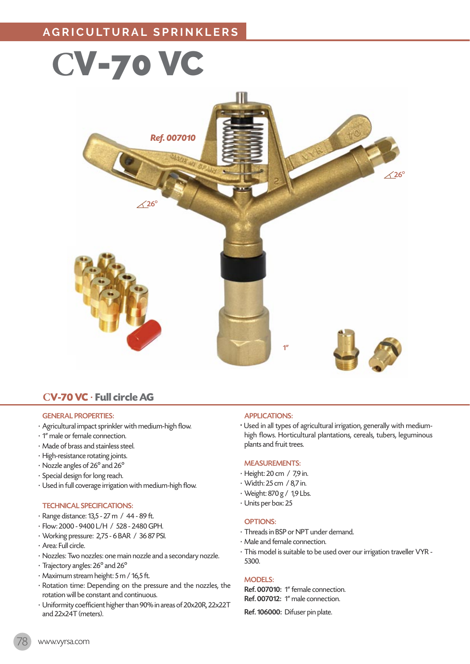# **C**V-70 VC



## **CV-70 VC** · **Full circle AG**

#### GENERAL PROPERTIES:

- · Agricultural impact sprinkler with medium-high flow.
- · 1" male or female connection.
- · Made of brass and stainless steel.
- · High-resistance rotating joints.
- · Nozzle angles of 26º and 26º
- · Special design for long reach.
- · Used in full coverage irrigation with medium-high flow.

#### TECHNICAL SPECIFICATIONS:

- · Range distance: 13,5 27 m / 44 89 ft.
- · Flow: 2000 9400 L/H / 528 2480 GPH.
- · Working pressure: 2,75 6 BAR / 36 87 PSI.
- · Area: Full circle.
- · Nozzles: Two nozzles: one main nozzle and a secondary nozzle.
- · Trajectory angles: 26º and 26º
- · Maximum stream height: 5 m / 16,5 ft.
- · Rotation time: Depending on the pressure and the nozzles, the rotation will be constant and continuous.
- · Uniformity coefficient higher than 90% in areas of 20x20R, 22x22T and 22x24T (meters).

#### APPLICATIONS:

• Used in all types of agricultural irrigation, generally with mediumhigh flows. Horticultural plantations, cereals, tubers, leguminous plants and fruit trees.

#### MEASUREMENTS:

- · Height: 20 cm / 7,9 in.
- · Width: 25 cm / 8,7 in.
- · Weight: 870 g / 1,9 Lbs.
- · Units per box: 25

#### OPTIONS:

- · Threads in BSP or NPT under demand.
- · Male and female connection.
- · This model is suitable to be used over our irrigation traveller VYR 5300.

#### MODELS:

Ref. 007010: 1" female connection. Ref. 007012: 1" male connection.

Ref. 106000: Difuser pin plate.